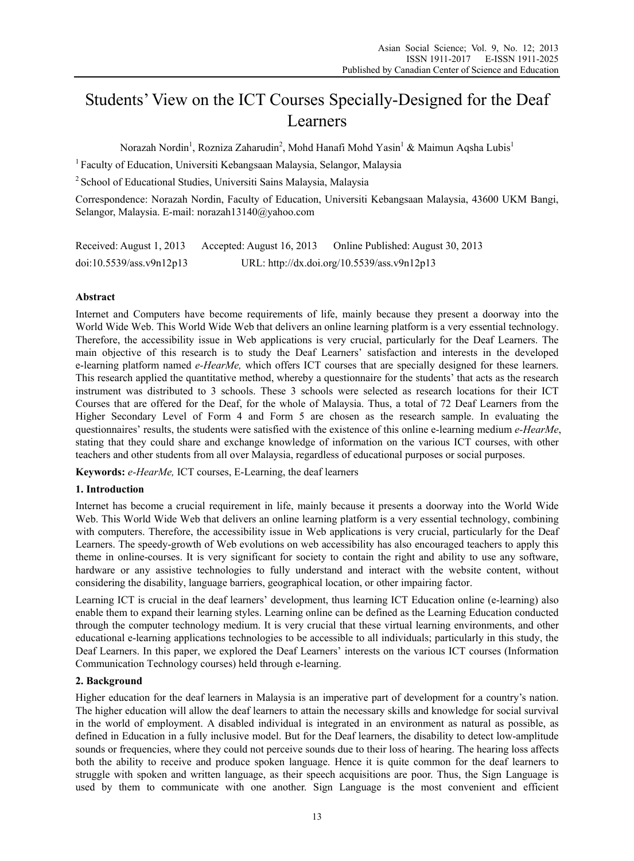# Students' View on the ICT Courses Specially-Designed for the Deaf Learners

Norazah Nordin<sup>1</sup>, Rozniza Zaharudin<sup>2</sup>, Mohd Hanafi Mohd Yasin<sup>1</sup> & Maimun Aqsha Lubis<sup>1</sup>

<sup>1</sup> Faculty of Education, Universiti Kebangsaan Malaysia, Selangor, Malaysia

2 School of Educational Studies, Universiti Sains Malaysia, Malaysia

Correspondence: Norazah Nordin, Faculty of Education, Universiti Kebangsaan Malaysia, 43600 UKM Bangi, Selangor, Malaysia. E-mail: norazah13140@yahoo.com

| Received: August 1, 2013 | Accepted: August 16, 2013 | Online Published: August 30, 2013           |
|--------------------------|---------------------------|---------------------------------------------|
| doi:10.5539/ass.v9n12p13 |                           | URL: http://dx.doi.org/10.5539/ass.v9n12p13 |

## **Abstract**

Internet and Computers have become requirements of life, mainly because they present a doorway into the World Wide Web. This World Wide Web that delivers an online learning platform is a very essential technology. Therefore, the accessibility issue in Web applications is very crucial, particularly for the Deaf Learners. The main objective of this research is to study the Deaf Learners' satisfaction and interests in the developed e-learning platform named *e-HearMe,* which offers ICT courses that are specially designed for these learners. This research applied the quantitative method, whereby a questionnaire for the students' that acts as the research instrument was distributed to 3 schools. These 3 schools were selected as research locations for their ICT Courses that are offered for the Deaf, for the whole of Malaysia. Thus, a total of 72 Deaf Learners from the Higher Secondary Level of Form 4 and Form 5 are chosen as the research sample. In evaluating the questionnaires' results, the students were satisfied with the existence of this online e-learning medium *e-HearMe*, stating that they could share and exchange knowledge of information on the various ICT courses, with other teachers and other students from all over Malaysia, regardless of educational purposes or social purposes.

**Keywords:** *e-HearMe,* ICT courses, E-Learning, the deaf learners

### **1. Introduction**

Internet has become a crucial requirement in life, mainly because it presents a doorway into the World Wide Web. This World Wide Web that delivers an online learning platform is a very essential technology, combining with computers. Therefore, the accessibility issue in Web applications is very crucial, particularly for the Deaf Learners. The speedy-growth of Web evolutions on web accessibility has also encouraged teachers to apply this theme in online-courses. It is very significant for society to contain the right and ability to use any software, hardware or any assistive technologies to fully understand and interact with the website content, without considering the disability, language barriers, geographical location, or other impairing factor.

Learning ICT is crucial in the deaf learners' development, thus learning ICT Education online (e-learning) also enable them to expand their learning styles. Learning online can be defined as the Learning Education conducted through the computer technology medium. It is very crucial that these virtual learning environments, and other educational e-learning applications technologies to be accessible to all individuals; particularly in this study, the Deaf Learners. In this paper, we explored the Deaf Learners' interests on the various ICT courses (Information Communication Technology courses) held through e-learning.

### **2. Background**

Higher education for the deaf learners in Malaysia is an imperative part of development for a country's nation. The higher education will allow the deaf learners to attain the necessary skills and knowledge for social survival in the world of employment. A disabled individual is integrated in an environment as natural as possible, as defined in Education in a fully inclusive model. But for the Deaf learners, the disability to detect low-amplitude sounds or frequencies, where they could not perceive sounds due to their loss of hearing. The hearing loss affects both the ability to receive and produce spoken language. Hence it is quite common for the deaf learners to struggle with spoken and written language, as their speech acquisitions are poor. Thus, the Sign Language is used by them to communicate with one another. Sign Language is the most convenient and efficient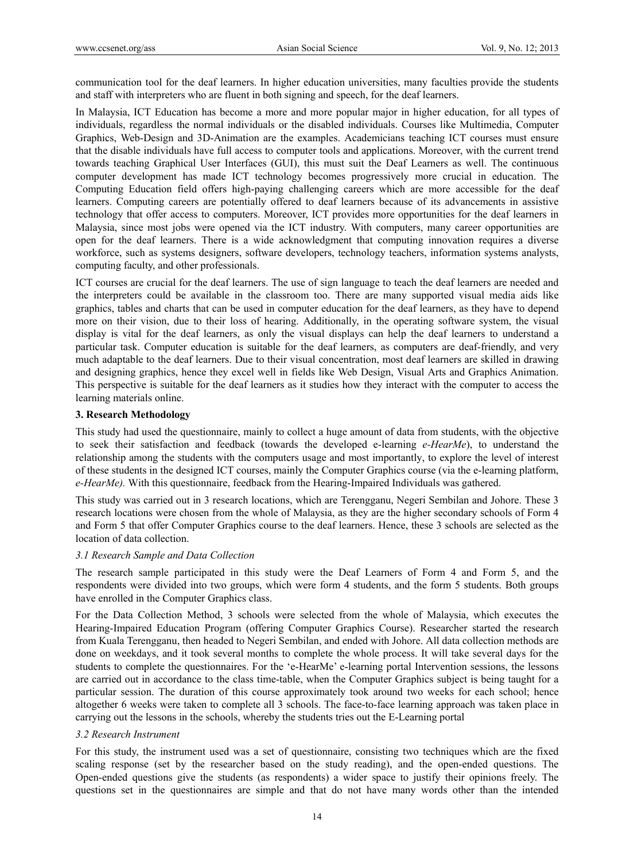communication tool for the deaf learners. In higher education universities, many faculties provide the students and staff with interpreters who are fluent in both signing and speech, for the deaf learners.

In Malaysia, ICT Education has become a more and more popular major in higher education, for all types of individuals, regardless the normal individuals or the disabled individuals. Courses like Multimedia, Computer Graphics, Web-Design and 3D-Animation are the examples. Academicians teaching ICT courses must ensure that the disable individuals have full access to computer tools and applications. Moreover, with the current trend towards teaching Graphical User Interfaces (GUI), this must suit the Deaf Learners as well. The continuous computer development has made ICT technology becomes progressively more crucial in education. The Computing Education field offers high-paying challenging careers which are more accessible for the deaf learners. Computing careers are potentially offered to deaf learners because of its advancements in assistive technology that offer access to computers. Moreover, ICT provides more opportunities for the deaf learners in Malaysia, since most jobs were opened via the ICT industry. With computers, many career opportunities are open for the deaf learners. There is a wide acknowledgment that computing innovation requires a diverse workforce, such as systems designers, software developers, technology teachers, information systems analysts, computing faculty, and other professionals.

ICT courses are crucial for the deaf learners. The use of sign language to teach the deaf learners are needed and the interpreters could be available in the classroom too. There are many supported visual media aids like graphics, tables and charts that can be used in computer education for the deaf learners, as they have to depend more on their vision, due to their loss of hearing. Additionally, in the operating software system, the visual display is vital for the deaf learners, as only the visual displays can help the deaf learners to understand a particular task. Computer education is suitable for the deaf learners, as computers are deaf-friendly, and very much adaptable to the deaf learners. Due to their visual concentration, most deaf learners are skilled in drawing and designing graphics, hence they excel well in fields like Web Design, Visual Arts and Graphics Animation. This perspective is suitable for the deaf learners as it studies how they interact with the computer to access the learning materials online.

## **3. Research Methodology**

This study had used the questionnaire, mainly to collect a huge amount of data from students, with the objective to seek their satisfaction and feedback (towards the developed e-learning *e-HearMe*), to understand the relationship among the students with the computers usage and most importantly, to explore the level of interest of these students in the designed ICT courses, mainly the Computer Graphics course (via the e-learning platform, *e-HearMe).* With this questionnaire, feedback from the Hearing-Impaired Individuals was gathered.

This study was carried out in 3 research locations, which are Terengganu, Negeri Sembilan and Johore. These 3 research locations were chosen from the whole of Malaysia, as they are the higher secondary schools of Form 4 and Form 5 that offer Computer Graphics course to the deaf learners. Hence, these 3 schools are selected as the location of data collection.

### *3.1 Research Sample and Data Collection*

The research sample participated in this study were the Deaf Learners of Form 4 and Form 5, and the respondents were divided into two groups, which were form 4 students, and the form 5 students. Both groups have enrolled in the Computer Graphics class.

For the Data Collection Method, 3 schools were selected from the whole of Malaysia, which executes the Hearing-Impaired Education Program (offering Computer Graphics Course). Researcher started the research from Kuala Terengganu, then headed to Negeri Sembilan, and ended with Johore. All data collection methods are done on weekdays, and it took several months to complete the whole process. It will take several days for the students to complete the questionnaires. For the 'e-HearMe' e-learning portal Intervention sessions, the lessons are carried out in accordance to the class time-table, when the Computer Graphics subject is being taught for a particular session. The duration of this course approximately took around two weeks for each school; hence altogether 6 weeks were taken to complete all 3 schools. The face-to-face learning approach was taken place in carrying out the lessons in the schools, whereby the students tries out the E-Learning portal

### *3.2 Research Instrument*

For this study, the instrument used was a set of questionnaire, consisting two techniques which are the fixed scaling response (set by the researcher based on the study reading), and the open-ended questions. The Open-ended questions give the students (as respondents) a wider space to justify their opinions freely. The questions set in the questionnaires are simple and that do not have many words other than the intended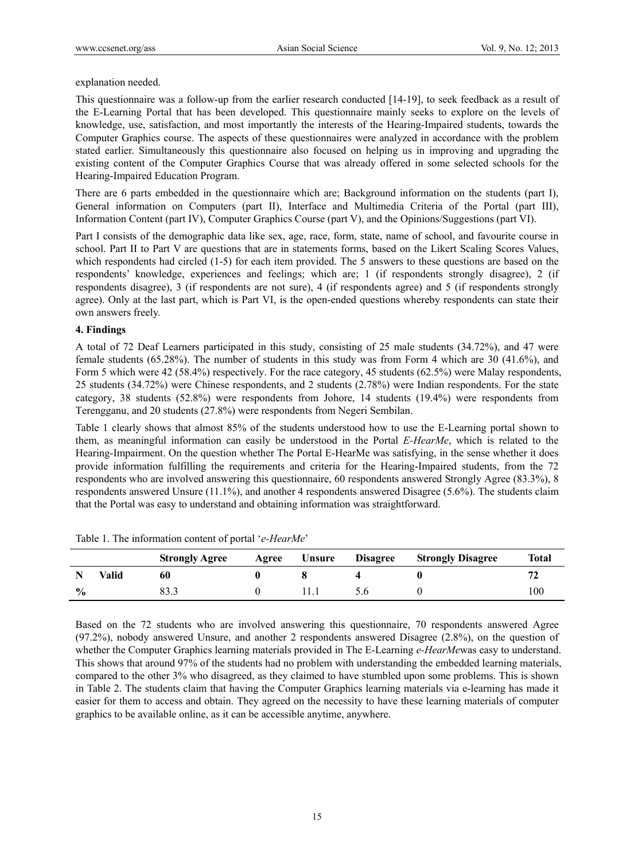explanation needed.

This questionnaire was a follow-up from the earlier research conducted [14-19], to seek feedback as a result of the E-Learning Portal that has been developed. This questionnaire mainly seeks to explore on the levels of knowledge, use, satisfaction, and most importantly the interests of the Hearing-Impaired students, towards the Computer Graphics course. The aspects of these questionnaires were analyzed in accordance with the problem stated earlier. Simultaneously this questionnaire also focused on helping us in improving and upgrading the existing content of the Computer Graphics Course that was already offered in some selected schools for the Hearing-Impaired Education Program.

There are 6 parts embedded in the questionnaire which are; Background information on the students (part I), General information on Computers (part II), Interface and Multimedia Criteria of the Portal (part III), Information Content (part IV), Computer Graphics Course (part V), and the Opinions/Suggestions (part VI).

Part I consists of the demographic data like sex, age, race, form, state, name of school, and favourite course in school. Part II to Part V are questions that are in statements forms, based on the Likert Scaling Scores Values, which respondents had circled (1-5) for each item provided. The 5 answers to these questions are based on the respondents' knowledge, experiences and feelings; which are; 1 (if respondents strongly disagree), 2 (if respondents disagree), 3 (if respondents are not sure), 4 (if respondents agree) and 5 (if respondents strongly agree). Only at the last part, which is Part VI, is the open-ended questions whereby respondents can state their own answers freely.

## **4. Findings**

A total of 72 Deaf Learners participated in this study, consisting of 25 male students (34.72%), and 47 were female students (65.28%). The number of students in this study was from Form 4 which are 30 (41.6%), and Form 5 which were 42 (58.4%) respectively. For the race category, 45 students (62.5%) were Malay respondents, 25 students (34.72%) were Chinese respondents, and 2 students (2.78%) were Indian respondents. For the state category, 38 students (52.8%) were respondents from Johore, 14 students (19.4%) were respondents from Terengganu, and 20 students (27.8%) were respondents from Negeri Sembilan.

Table 1 clearly shows that almost 85% of the students understood how to use the E-Learning portal shown to them, as meaningful information can easily be understood in the Portal *E-HearMe*, which is related to the Hearing-Impairment. On the question whether The Portal E-HearMe was satisfying, in the sense whether it does provide information fulfilling the requirements and criteria for the Hearing-Impaired students, from the 72 respondents who are involved answering this questionnaire, 60 respondents answered Strongly Agree (83.3%), 8 respondents answered Unsure (11.1%), and another 4 respondents answered Disagree (5.6%). The students claim that the Portal was easy to understand and obtaining information was straightforward.

|               |       | <b>Strongly Agree</b> | Agree | Unsure | <b>Disagree</b> | <b>Strongly Disagree</b> | <b>Total</b> |
|---------------|-------|-----------------------|-------|--------|-----------------|--------------------------|--------------|
|               | Valid | 60                    |       |        |                 |                          | Ħ۹           |
| $\frac{0}{0}$ |       |                       |       |        |                 |                          | 100          |

Table 1. The information content of portal '*e-HearMe*'

Based on the 72 students who are involved answering this questionnaire, 70 respondents answered Agree (97.2%), nobody answered Unsure, and another 2 respondents answered Disagree (2.8%), on the question of whether the Computer Graphics learning materials provided in The E-Learning *e-HearMe*was easy to understand. This shows that around 97% of the students had no problem with understanding the embedded learning materials, compared to the other 3% who disagreed, as they claimed to have stumbled upon some problems. This is shown in Table 2. The students claim that having the Computer Graphics learning materials via e-learning has made it easier for them to access and obtain. They agreed on the necessity to have these learning materials of computer graphics to be available online, as it can be accessible anytime, anywhere.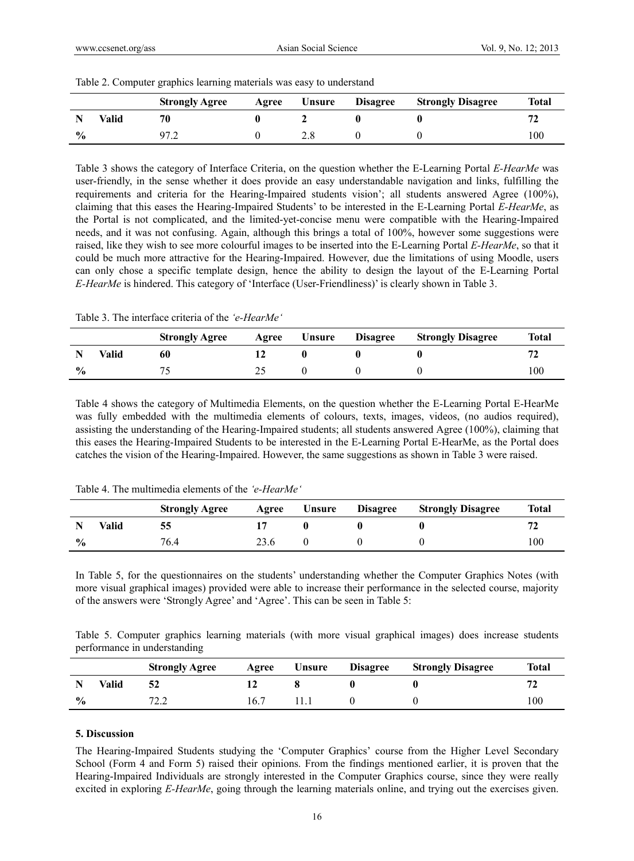|               |              | <b>Strongly Agree</b> | Agree | <b>Unsure</b> | <b>Disagree</b> | <b>Strongly Disagree</b> | <b>Total</b> |
|---------------|--------------|-----------------------|-------|---------------|-----------------|--------------------------|--------------|
|               | <b>Valid</b> | 70                    |       |               |                 |                          |              |
| $\frac{0}{0}$ |              |                       |       |               |                 |                          | 100          |

Table 2. Computer graphics learning materials was easy to understand

Table 3 shows the category of Interface Criteria, on the question whether the E-Learning Portal *E-HearMe* was user-friendly, in the sense whether it does provide an easy understandable navigation and links, fulfilling the requirements and criteria for the Hearing-Impaired students vision'; all students answered Agree (100%), claiming that this eases the Hearing-Impaired Students' to be interested in the E-Learning Portal *E-HearMe*, as the Portal is not complicated, and the limited-yet-concise menu were compatible with the Hearing-Impaired needs, and it was not confusing. Again, although this brings a total of 100%, however some suggestions were raised, like they wish to see more colourful images to be inserted into the E-Learning Portal *E-HearMe*, so that it could be much more attractive for the Hearing-Impaired. However, due the limitations of using Moodle, users can only chose a specific template design, hence the ability to design the layout of the E-Learning Portal *E-HearMe* is hindered. This category of 'Interface (User-Friendliness)' is clearly shown in Table 3.

Table 3. The interface criteria of the *'e-HearMe'*

|                |       | <b>Strongly Agree</b> | Agree | Unsure | <b>Disagree</b> | <b>Strongly Disagree</b> | <b>Total</b> |
|----------------|-------|-----------------------|-------|--------|-----------------|--------------------------|--------------|
|                | Valid | 60                    |       |        |                 |                          |              |
| $\frac{6}{10}$ |       |                       |       |        |                 |                          | 100          |

Table 4 shows the category of Multimedia Elements, on the question whether the E-Learning Portal E-HearMe was fully embedded with the multimedia elements of colours, texts, images, videos, (no audios required), assisting the understanding of the Hearing-Impaired students; all students answered Agree (100%), claiming that this eases the Hearing-Impaired Students to be interested in the E-Learning Portal E-HearMe, as the Portal does catches the vision of the Hearing-Impaired. However, the same suggestions as shown in Table 3 were raised.

|               |       | <b>Strongly Agree</b> | Agree | Unsure | <b>Disagree</b> | <b>Strongly Disagree</b> | <b>Total</b> |
|---------------|-------|-----------------------|-------|--------|-----------------|--------------------------|--------------|
|               | Valid | 55                    |       |        |                 |                          |              |
| $\frac{0}{0}$ |       | 76.4                  | 23.6  |        |                 |                          | 100          |

Table 4. The multimedia elements of the *'e-HearMe'*

In Table 5, for the questionnaires on the students' understanding whether the Computer Graphics Notes (with more visual graphical images) provided were able to increase their performance in the selected course, majority of the answers were 'Strongly Agree' and 'Agree'. This can be seen in Table 5:

Table 5. Computer graphics learning materials (with more visual graphical images) does increase students performance in understanding

|               |       | <b>Strongly Agree</b> | Agree | Unsure | <b>Disagree</b> | <b>Strongly Disagree</b> | <b>Total</b> |
|---------------|-------|-----------------------|-------|--------|-----------------|--------------------------|--------------|
|               | Valid |                       |       |        |                 |                          |              |
| $\frac{0}{0}$ |       |                       | 16.7  |        |                 |                          | l 00         |

#### **5. Discussion**

The Hearing-Impaired Students studying the 'Computer Graphics' course from the Higher Level Secondary School (Form 4 and Form 5) raised their opinions. From the findings mentioned earlier, it is proven that the Hearing-Impaired Individuals are strongly interested in the Computer Graphics course, since they were really excited in exploring *E-HearMe*, going through the learning materials online, and trying out the exercises given.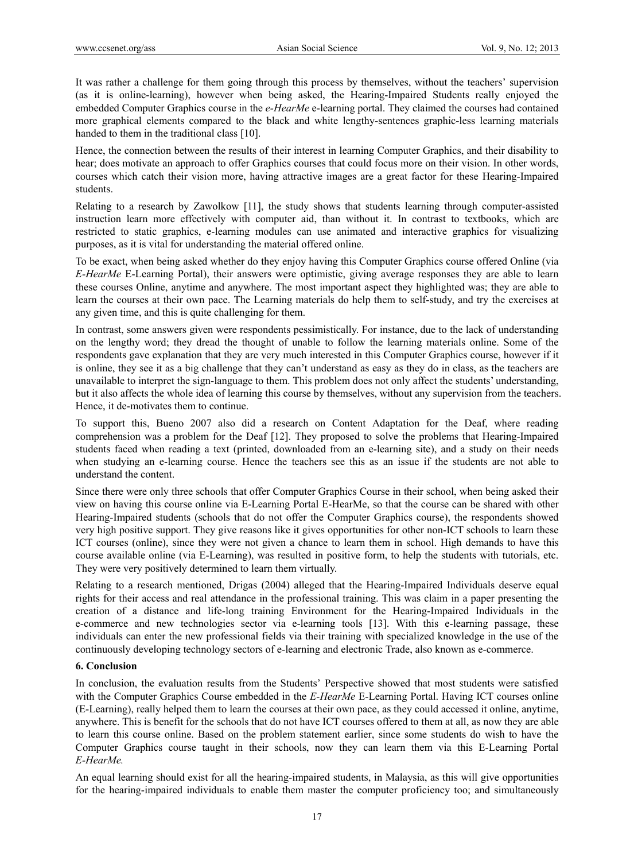It was rather a challenge for them going through this process by themselves, without the teachers' supervision (as it is online-learning), however when being asked, the Hearing-Impaired Students really enjoyed the embedded Computer Graphics course in the *e-HearMe* e-learning portal. They claimed the courses had contained more graphical elements compared to the black and white lengthy-sentences graphic-less learning materials handed to them in the traditional class [10].

Hence, the connection between the results of their interest in learning Computer Graphics, and their disability to hear; does motivate an approach to offer Graphics courses that could focus more on their vision. In other words, courses which catch their vision more, having attractive images are a great factor for these Hearing-Impaired students.

Relating to a research by Zawolkow [11], the study shows that students learning through computer-assisted instruction learn more effectively with computer aid, than without it. In contrast to textbooks, which are restricted to static graphics, e-learning modules can use animated and interactive graphics for visualizing purposes, as it is vital for understanding the material offered online.

To be exact, when being asked whether do they enjoy having this Computer Graphics course offered Online (via *E-HearMe* E-Learning Portal), their answers were optimistic, giving average responses they are able to learn these courses Online, anytime and anywhere. The most important aspect they highlighted was; they are able to learn the courses at their own pace. The Learning materials do help them to self-study, and try the exercises at any given time, and this is quite challenging for them.

In contrast, some answers given were respondents pessimistically. For instance, due to the lack of understanding on the lengthy word; they dread the thought of unable to follow the learning materials online. Some of the respondents gave explanation that they are very much interested in this Computer Graphics course, however if it is online, they see it as a big challenge that they can't understand as easy as they do in class, as the teachers are unavailable to interpret the sign-language to them. This problem does not only affect the students' understanding, but it also affects the whole idea of learning this course by themselves, without any supervision from the teachers. Hence, it de-motivates them to continue.

To support this, Bueno 2007 also did a research on Content Adaptation for the Deaf, where reading comprehension was a problem for the Deaf [12]. They proposed to solve the problems that Hearing-Impaired students faced when reading a text (printed, downloaded from an e-learning site), and a study on their needs when studying an e-learning course. Hence the teachers see this as an issue if the students are not able to understand the content.

Since there were only three schools that offer Computer Graphics Course in their school, when being asked their view on having this course online via E-Learning Portal E-HearMe, so that the course can be shared with other Hearing-Impaired students (schools that do not offer the Computer Graphics course), the respondents showed very high positive support. They give reasons like it gives opportunities for other non-ICT schools to learn these ICT courses (online), since they were not given a chance to learn them in school. High demands to have this course available online (via E-Learning), was resulted in positive form, to help the students with tutorials, etc. They were very positively determined to learn them virtually.

Relating to a research mentioned, Drigas (2004) alleged that the Hearing-Impaired Individuals deserve equal rights for their access and real attendance in the professional training. This was claim in a paper presenting the creation of a distance and life-long training Environment for the Hearing-Impaired Individuals in the e-commerce and new technologies sector via e-learning tools [13]. With this e-learning passage, these individuals can enter the new professional fields via their training with specialized knowledge in the use of the continuously developing technology sectors of e-learning and electronic Trade, also known as e-commerce.

## **6. Conclusion**

In conclusion, the evaluation results from the Students' Perspective showed that most students were satisfied with the Computer Graphics Course embedded in the *E-HearMe* E-Learning Portal. Having ICT courses online (E-Learning), really helped them to learn the courses at their own pace, as they could accessed it online, anytime, anywhere. This is benefit for the schools that do not have ICT courses offered to them at all, as now they are able to learn this course online. Based on the problem statement earlier, since some students do wish to have the Computer Graphics course taught in their schools, now they can learn them via this E-Learning Portal *E-HearMe.* 

An equal learning should exist for all the hearing-impaired students, in Malaysia, as this will give opportunities for the hearing-impaired individuals to enable them master the computer proficiency too; and simultaneously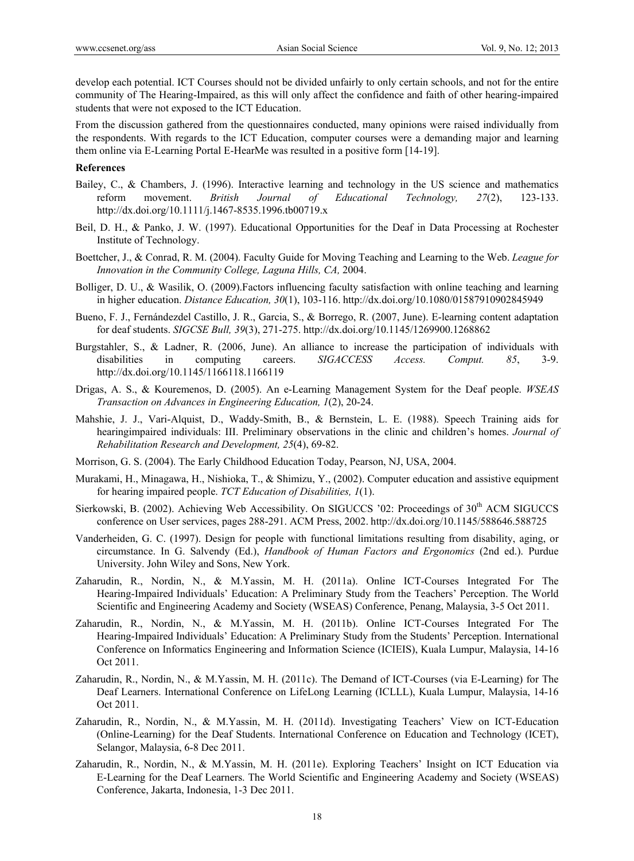develop each potential. ICT Courses should not be divided unfairly to only certain schools, and not for the entire community of The Hearing-Impaired, as this will only affect the confidence and faith of other hearing-impaired students that were not exposed to the ICT Education.

From the discussion gathered from the questionnaires conducted, many opinions were raised individually from the respondents. With regards to the ICT Education, computer courses were a demanding major and learning them online via E-Learning Portal E-HearMe was resulted in a positive form [14-19].

#### **References**

- Bailey, C., & Chambers, J. (1996). Interactive learning and technology in the US science and mathematics reform movement. *British Journal of Educational Technology, 27*(2), 123-133. http://dx.doi.org/10.1111/j.1467-8535.1996.tb00719.x
- Beil, D. H., & Panko, J. W. (1997). Educational Opportunities for the Deaf in Data Processing at Rochester Institute of Technology.
- Boettcher, J., & Conrad, R. M. (2004). Faculty Guide for Moving Teaching and Learning to the Web. *League for Innovation in the Community College, Laguna Hills, CA,* 2004.
- Bolliger, D. U., & Wasilik, O. (2009).Factors influencing faculty satisfaction with online teaching and learning in higher education. *Distance Education, 30*(1), 103-116. http://dx.doi.org/10.1080/01587910902845949
- Bueno, F. J., Fernándezdel Castillo, J. R., Garcia, S., & Borrego, R. (2007, June). E-learning content adaptation for deaf students. *SIGCSE Bull, 39*(3), 271-275. http://dx.doi.org/10.1145/1269900.1268862
- Burgstahler, S., & Ladner, R. (2006, June). An alliance to increase the participation of individuals with disabilities in computing careers. *SIGACCESS Access. Comput. 85*, 3-9. http://dx.doi.org/10.1145/1166118.1166119
- Drigas, A. S., & Kouremenos, D. (2005). An e-Learning Management System for the Deaf people. *WSEAS Transaction on Advances in Engineering Education, 1*(2), 20-24.
- Mahshie, J. J., Vari-Alquist, D., Waddy-Smith, B., & Bernstein, L. E. (1988). Speech Training aids for hearingimpaired individuals: III. Preliminary observations in the clinic and children's homes. *Journal of Rehabilitation Research and Development, 25*(4), 69-82.
- Morrison, G. S. (2004). The Early Childhood Education Today, Pearson, NJ, USA, 2004.
- Murakami, H., Minagawa, H., Nishioka, T., & Shimizu, Y., (2002). Computer education and assistive equipment for hearing impaired people. *TCT Education of Disabilities, 1*(1).
- Sierkowski, B. (2002). Achieving Web Accessibility. On SIGUCCS '02: Proceedings of 30<sup>th</sup> ACM SIGUCCS conference on User services, pages 288-291. ACM Press, 2002. http://dx.doi.org/10.1145/588646.588725
- Vanderheiden, G. C. (1997). Design for people with functional limitations resulting from disability, aging, or circumstance. In G. Salvendy (Ed.), *Handbook of Human Factors and Ergonomics* (2nd ed.). Purdue University. John Wiley and Sons, New York.
- Zaharudin, R., Nordin, N., & M.Yassin, M. H. (2011a). Online ICT-Courses Integrated For The Hearing-Impaired Individuals' Education: A Preliminary Study from the Teachers' Perception. The World Scientific and Engineering Academy and Society (WSEAS) Conference, Penang, Malaysia, 3-5 Oct 2011.
- Zaharudin, R., Nordin, N., & M.Yassin, M. H. (2011b). Online ICT-Courses Integrated For The Hearing-Impaired Individuals' Education: A Preliminary Study from the Students' Perception. International Conference on Informatics Engineering and Information Science (ICIEIS), Kuala Lumpur, Malaysia, 14-16 Oct 2011.
- Zaharudin, R., Nordin, N., & M.Yassin, M. H. (2011c). The Demand of ICT-Courses (via E-Learning) for The Deaf Learners. International Conference on LifeLong Learning (ICLLL), Kuala Lumpur, Malaysia, 14-16 Oct 2011.
- Zaharudin, R., Nordin, N., & M.Yassin, M. H. (2011d). Investigating Teachers' View on ICT-Education (Online-Learning) for the Deaf Students. International Conference on Education and Technology (ICET), Selangor, Malaysia, 6-8 Dec 2011.
- Zaharudin, R., Nordin, N., & M.Yassin, M. H. (2011e). Exploring Teachers' Insight on ICT Education via E-Learning for the Deaf Learners. The World Scientific and Engineering Academy and Society (WSEAS) Conference, Jakarta, Indonesia, 1-3 Dec 2011.